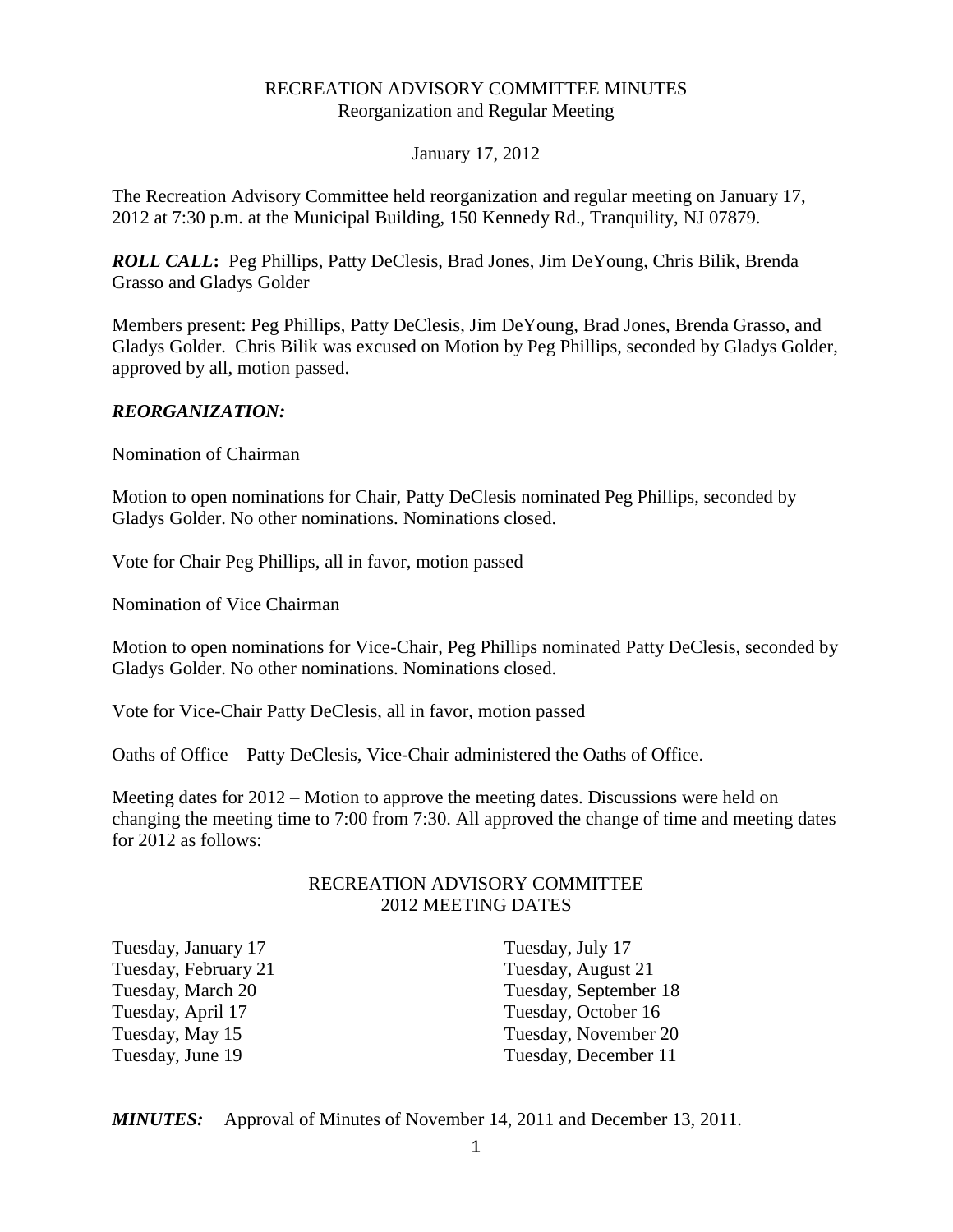#### RECREATION ADVISORY COMMITTEE MINUTES Reorganization and Regular Meeting

#### January 17, 2012

The Recreation Advisory Committee held reorganization and regular meeting on January 17, 2012 at 7:30 p.m. at the Municipal Building, 150 Kennedy Rd., Tranquility, NJ 07879.

*ROLL CALL***:** Peg Phillips, Patty DeClesis, Brad Jones, Jim DeYoung, Chris Bilik, Brenda Grasso and Gladys Golder

Members present: Peg Phillips, Patty DeClesis, Jim DeYoung, Brad Jones, Brenda Grasso, and Gladys Golder. Chris Bilik was excused on Motion by Peg Phillips, seconded by Gladys Golder, approved by all, motion passed.

#### *REORGANIZATION:*

Nomination of Chairman

Motion to open nominations for Chair, Patty DeClesis nominated Peg Phillips, seconded by Gladys Golder. No other nominations. Nominations closed.

Vote for Chair Peg Phillips, all in favor, motion passed

Nomination of Vice Chairman

Motion to open nominations for Vice-Chair, Peg Phillips nominated Patty DeClesis, seconded by Gladys Golder. No other nominations. Nominations closed.

Vote for Vice-Chair Patty DeClesis, all in favor, motion passed

Oaths of Office – Patty DeClesis, Vice-Chair administered the Oaths of Office.

Meeting dates for 2012 – Motion to approve the meeting dates. Discussions were held on changing the meeting time to 7:00 from 7:30. All approved the change of time and meeting dates for 2012 as follows:

#### RECREATION ADVISORY COMMITTEE 2012 MEETING DATES

Tuesday, January 17 Tuesday, July 17 Tuesday, February 21 Tuesday, August 21 Tuesday, April 17<br>
Tuesday, October 16<br>
Tuesday, November 2

Tuesday, March 20 Tuesday, September 18 Tuesday, November 20 Tuesday, June 19 Tuesday, December 11

*MINUTES:* Approval of Minutes of November 14, 2011 and December 13, 2011.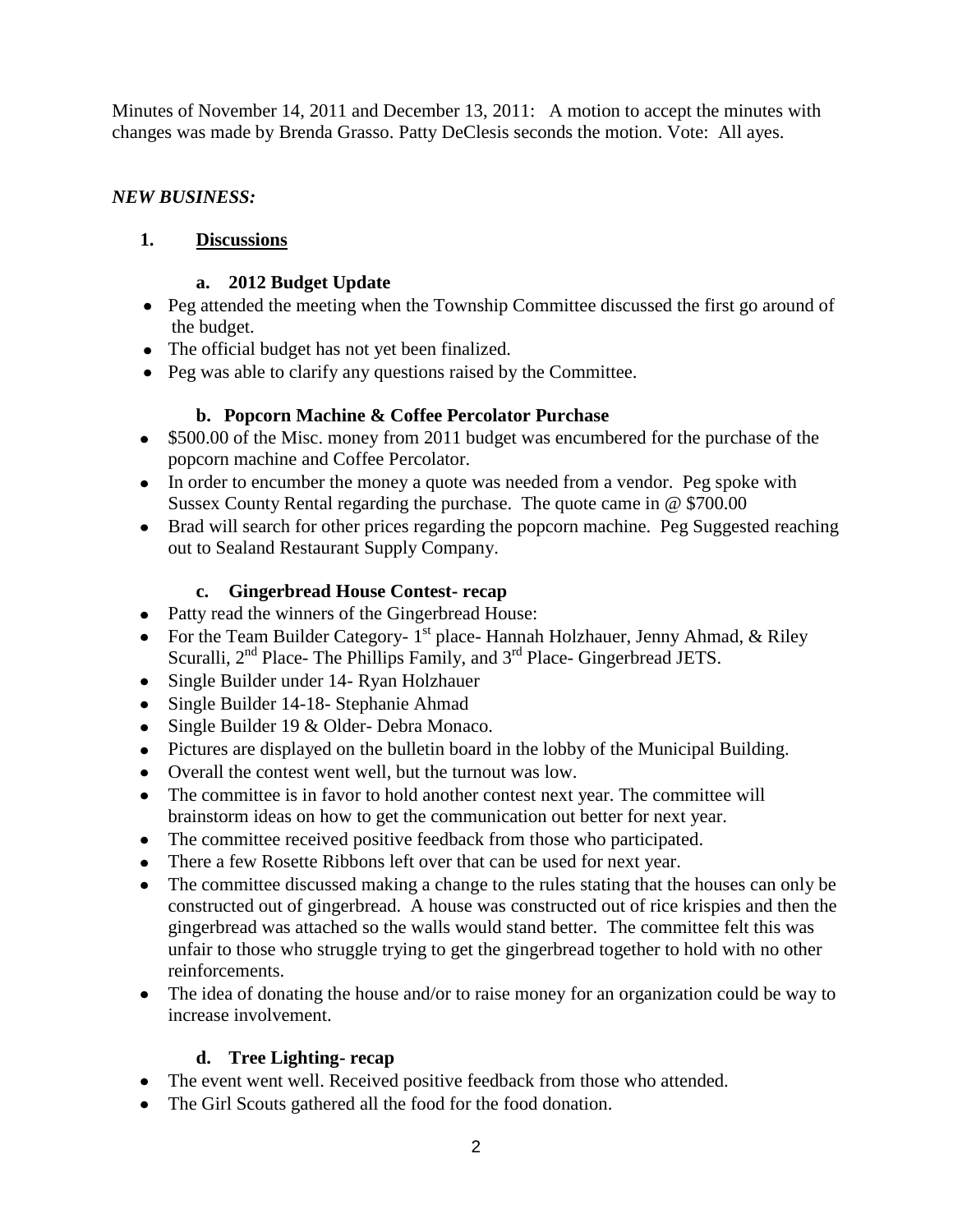Minutes of November 14, 2011 and December 13, 2011: A motion to accept the minutes with changes was made by Brenda Grasso. Patty DeClesis seconds the motion. Vote: All ayes.

## *NEW BUSINESS:*

# **1. Discussions**

#### **a. 2012 Budget Update**

- Peg attended the meeting when the Township Committee discussed the first go around of the budget.
- The official budget has not yet been finalized.
- Peg was able to clarify any questions raised by the Committee.

## **b. Popcorn Machine & Coffee Percolator Purchase**

- \$500.00 of the Misc. money from 2011 budget was encumbered for the purchase of the popcorn machine and Coffee Percolator.
- In order to encumber the money a quote was needed from a vendor. Peg spoke with Sussex County Rental regarding the purchase. The quote came in @ \$700.00
- Brad will search for other prices regarding the popcorn machine. Peg Suggested reaching out to Sealand Restaurant Supply Company.

## **c. Gingerbread House Contest- recap**

- Patty read the winners of the Gingerbread House:
- For the Team Builder Category-  $1^{st}$  place- Hannah Holzhauer, Jenny Ahmad, & Riley Scuralli, 2<sup>nd</sup> Place- The Phillips Family, and 3<sup>rd</sup> Place- Gingerbread JETS.
- Single Builder under 14- Ryan Holzhauer
- Single Builder 14-18- Stephanie Ahmad
- Single Builder 19 & Older- Debra Monaco.
- Pictures are displayed on the bulletin board in the lobby of the Municipal Building.
- Overall the contest went well, but the turnout was low.
- The committee is in favor to hold another contest next year. The committee will brainstorm ideas on how to get the communication out better for next year.
- The committee received positive feedback from those who participated.
- There a few Rosette Ribbons left over that can be used for next year.
- The committee discussed making a change to the rules stating that the houses can only be constructed out of gingerbread. A house was constructed out of rice krispies and then the gingerbread was attached so the walls would stand better. The committee felt this was unfair to those who struggle trying to get the gingerbread together to hold with no other reinforcements.
- The idea of donating the house and/or to raise money for an organization could be way to increase involvement.

#### **d. Tree Lighting- recap**

- The event went well. Received positive feedback from those who attended.
- The Girl Scouts gathered all the food for the food donation.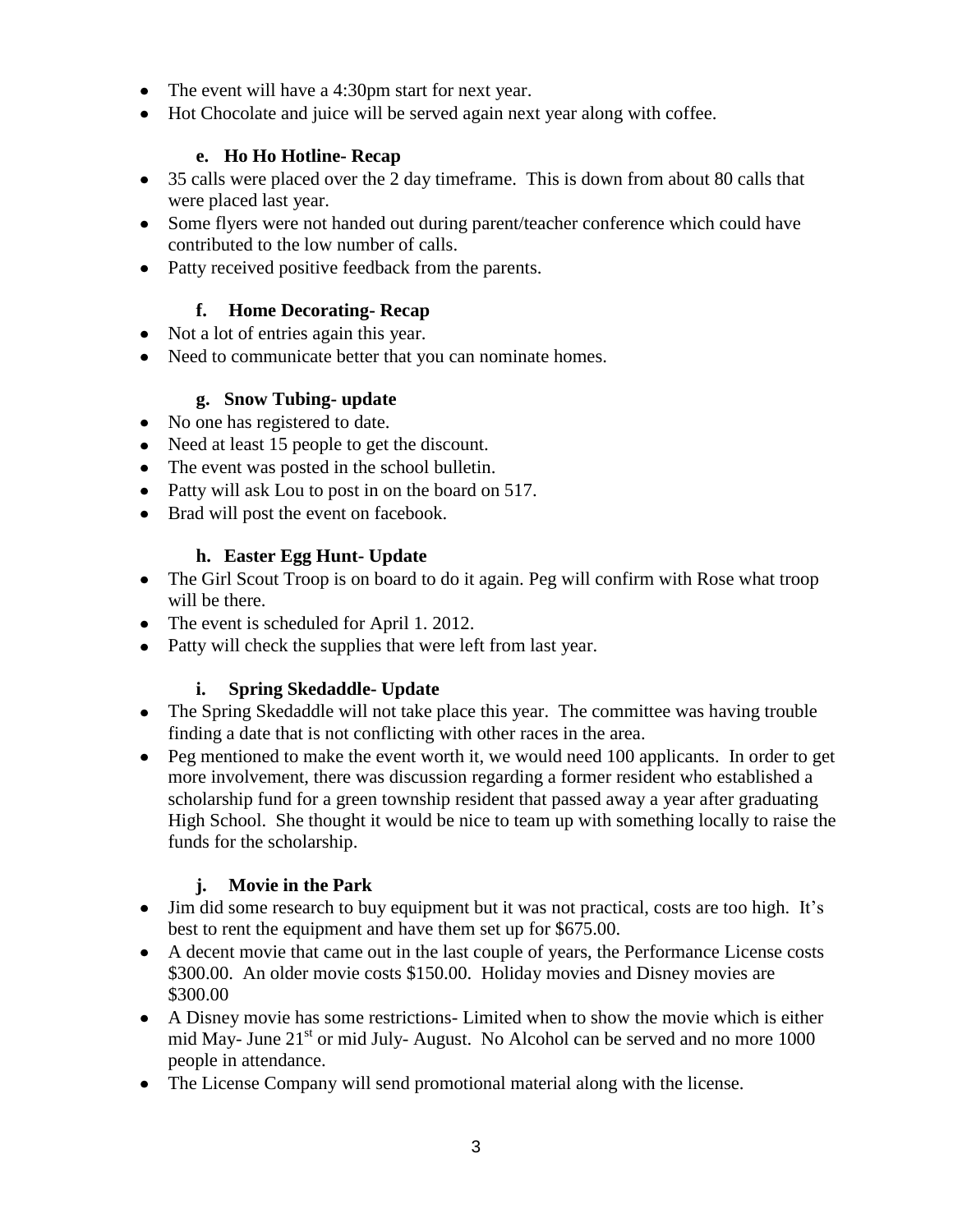- The event will have a 4:30pm start for next year.
- Hot Chocolate and juice will be served again next year along with coffee.

## **e. Ho Ho Hotline- Recap**

- 35 calls were placed over the 2 day timeframe. This is down from about 80 calls that were placed last year.
- Some flyers were not handed out during parent/teacher conference which could have contributed to the low number of calls.
- Patty received positive feedback from the parents.

## **f. Home Decorating- Recap**

- Not a lot of entries again this year.
- Need to communicate better that you can nominate homes.

## **g. Snow Tubing- update**

- No one has registered to date.
- Need at least 15 people to get the discount.
- The event was posted in the school bulletin.
- Patty will ask Lou to post in on the board on 517.
- Brad will post the event on facebook.

# **h. Easter Egg Hunt- Update**

- The Girl Scout Troop is on board to do it again. Peg will confirm with Rose what troop will be there.
- The event is scheduled for April 1. 2012.
- Patty will check the supplies that were left from last year.

# **i. Spring Skedaddle- Update**

- The Spring Skedaddle will not take place this year. The committee was having trouble finding a date that is not conflicting with other races in the area.
- Peg mentioned to make the event worth it, we would need 100 applicants. In order to get more involvement, there was discussion regarding a former resident who established a scholarship fund for a green township resident that passed away a year after graduating High School. She thought it would be nice to team up with something locally to raise the funds for the scholarship.

# **j. Movie in the Park**

- Jim did some research to buy equipment but it was not practical, costs are too high. It's best to rent the equipment and have them set up for \$675.00.
- A decent movie that came out in the last couple of years, the Performance License costs \$300.00. An older movie costs \$150.00. Holiday movies and Disney movies are \$300.00
- A Disney movie has some restrictions- Limited when to show the movie which is either mid May- June  $21<sup>st</sup>$  or mid July- August. No Alcohol can be served and no more 1000 people in attendance.
- The License Company will send promotional material along with the license.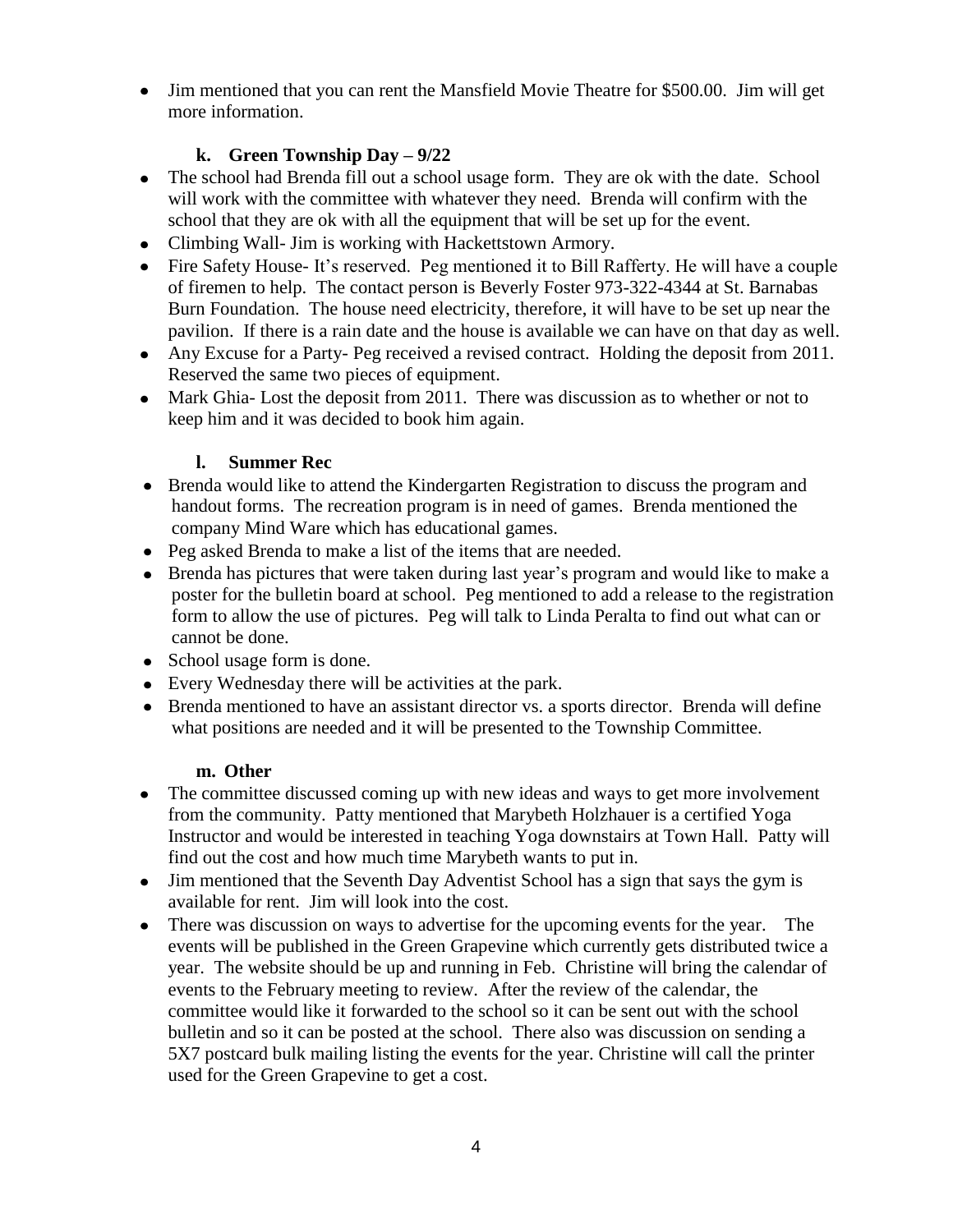• Jim mentioned that you can rent the Mansfield Movie Theatre for \$500.00. Jim will get more information.

# **k. Green Township Day – 9/22**

- The school had Brenda fill out a school usage form. They are ok with the date. School will work with the committee with whatever they need. Brenda will confirm with the school that they are ok with all the equipment that will be set up for the event.
- Climbing Wall- Jim is working with Hackettstown Armory.
- Fire Safety House- It's reserved. Peg mentioned it to Bill Rafferty. He will have a couple of firemen to help. The contact person is Beverly Foster 973-322-4344 at St. Barnabas Burn Foundation. The house need electricity, therefore, it will have to be set up near the pavilion. If there is a rain date and the house is available we can have on that day as well.
- Any Excuse for a Party- Peg received a revised contract. Holding the deposit from 2011. Reserved the same two pieces of equipment.
- Mark Ghia- Lost the deposit from 2011. There was discussion as to whether or not to keep him and it was decided to book him again.

# **l. Summer Rec**

- Brenda would like to attend the Kindergarten Registration to discuss the program and handout forms. The recreation program is in need of games. Brenda mentioned the company Mind Ware which has educational games.
- Peg asked Brenda to make a list of the items that are needed.
- Brenda has pictures that were taken during last year's program and would like to make a poster for the bulletin board at school. Peg mentioned to add a release to the registration form to allow the use of pictures. Peg will talk to Linda Peralta to find out what can or cannot be done.
- School usage form is done.
- Every Wednesday there will be activities at the park.
- Brenda mentioned to have an assistant director vs. a sports director. Brenda will define what positions are needed and it will be presented to the Township Committee.

# **m. Other**

- The committee discussed coming up with new ideas and ways to get more involvement from the community. Patty mentioned that Marybeth Holzhauer is a certified Yoga Instructor and would be interested in teaching Yoga downstairs at Town Hall. Patty will find out the cost and how much time Marybeth wants to put in.
- Jim mentioned that the Seventh Day Adventist School has a sign that says the gym is available for rent. Jim will look into the cost.
- There was discussion on ways to advertise for the upcoming events for the year. The events will be published in the Green Grapevine which currently gets distributed twice a year. The website should be up and running in Feb. Christine will bring the calendar of events to the February meeting to review. After the review of the calendar, the committee would like it forwarded to the school so it can be sent out with the school bulletin and so it can be posted at the school. There also was discussion on sending a 5X7 postcard bulk mailing listing the events for the year. Christine will call the printer used for the Green Grapevine to get a cost.